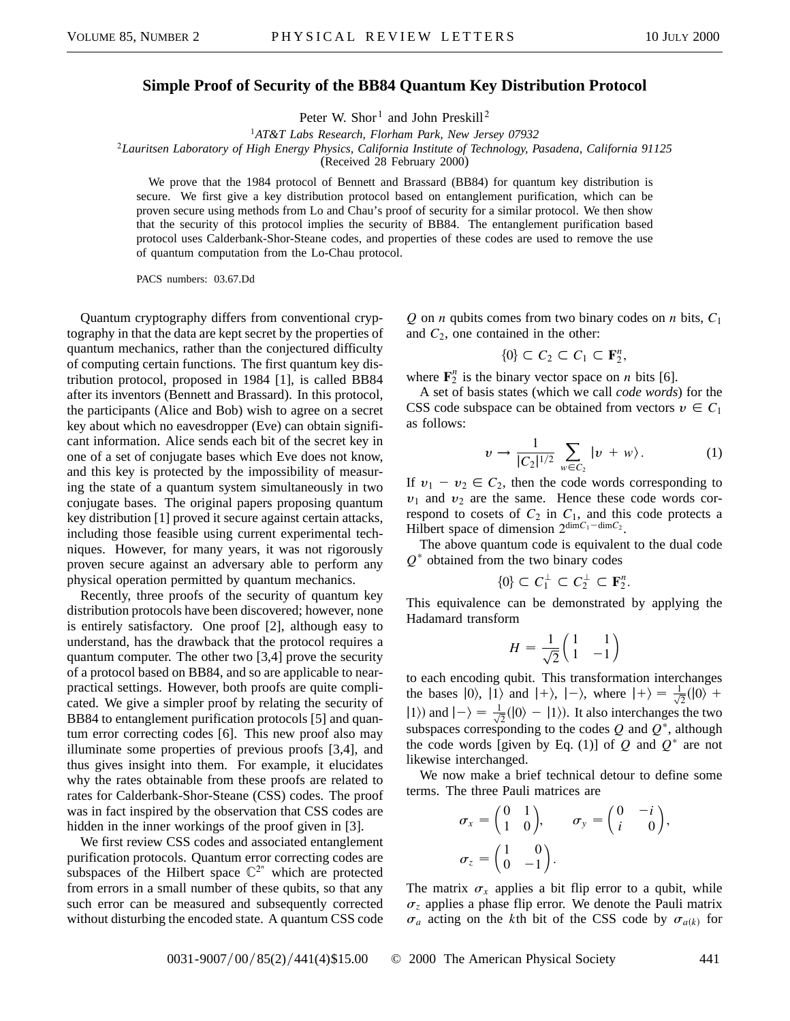## **Simple Proof of Security of the BB84 Quantum Key Distribution Protocol**

Peter W. Shor<sup>1</sup> and John Preskill<sup>2</sup>

<sup>1</sup>*AT&T Labs Research, Florham Park, New Jersey 07932*

<sup>2</sup>*Lauritsen Laboratory of High Energy Physics, California Institute of Technology, Pasadena, California 91125*

(Received 28 February 2000)

We prove that the 1984 protocol of Bennett and Brassard (BB84) for quantum key distribution is secure. We first give a key distribution protocol based on entanglement purification, which can be proven secure using methods from Lo and Chau's proof of security for a similar protocol. We then show that the security of this protocol implies the security of BB84. The entanglement purification based protocol uses Calderbank-Shor-Steane codes, and properties of these codes are used to remove the use of quantum computation from the Lo-Chau protocol.

PACS numbers: 03.67.Dd

Quantum cryptography differs from conventional cryptography in that the data are kept secret by the properties of quantum mechanics, rather than the conjectured difficulty of computing certain functions. The first quantum key distribution protocol, proposed in 1984 [1], is called BB84 after its inventors (Bennett and Brassard). In this protocol, the participants (Alice and Bob) wish to agree on a secret key about which no eavesdropper (Eve) can obtain significant information. Alice sends each bit of the secret key in one of a set of conjugate bases which Eve does not know, and this key is protected by the impossibility of measuring the state of a quantum system simultaneously in two conjugate bases. The original papers proposing quantum key distribution [1] proved it secure against certain attacks, including those feasible using current experimental techniques. However, for many years, it was not rigorously proven secure against an adversary able to perform any physical operation permitted by quantum mechanics.

Recently, three proofs of the security of quantum key distribution protocols have been discovered; however, none is entirely satisfactory. One proof [2], although easy to understand, has the drawback that the protocol requires a quantum computer. The other two [3,4] prove the security of a protocol based on BB84, and so are applicable to nearpractical settings. However, both proofs are quite complicated. We give a simpler proof by relating the security of BB84 to entanglement purification protocols [5] and quantum error correcting codes [6]. This new proof also may illuminate some properties of previous proofs [3,4], and thus gives insight into them. For example, it elucidates why the rates obtainable from these proofs are related to rates for Calderbank-Shor-Steane (CSS) codes. The proof was in fact inspired by the observation that CSS codes are hidden in the inner workings of the proof given in [3].

We first review CSS codes and associated entanglement purification protocols. Quantum error correcting codes are subspaces of the Hilbert space  $\mathbb{C}^{2^n}$  which are protected from errors in a small number of these qubits, so that any such error can be measured and subsequently corrected without disturbing the encoded state. A quantum CSS code *Q* on *n* qubits comes from two binary codes on *n* bits, *C*<sup>1</sup> and *C*2, one contained in the other:

 $\{0\} \subset C_2 \subset C_1 \subset \mathbf{F}_2^n$ ,

where  $\mathbf{F}_2^n$  is the binary vector space on *n* bits [6].

A set of basis states (which we call *code words*) for the CSS code subspace can be obtained from vectors  $v \in C_1$ as follows:

$$
v \to \frac{1}{|C_2|^{1/2}} \sum_{w \in C_2} |v + w\rangle.
$$
 (1)

If  $v_1 - v_2 \in C_2$ , then the code words corresponding to  $v_1$  and  $v_2$  are the same. Hence these code words correspond to cosets of  $C_2$  in  $C_1$ , and this code protects a Hilbert space of dimension  $2^{\dim C_1 - \dim C_2}$ .

The above quantum code is equivalent to the dual code *Q*- obtained from the two binary codes

 $\{0\} \subset C_1^{\perp} \subset C_2^{\perp} \subset \mathbf{F}_2^n.$ 

This equivalence can be demonstrated by applying the Hadamard transform

$$
H = \frac{1}{\sqrt{2}} \begin{pmatrix} 1 & 1 \\ 1 & -1 \end{pmatrix}
$$

to each encoding qubit. This transformation interchanges the bases  $|0\rangle$ ,  $|1\rangle$  and  $|+\rangle$ ,  $|-\rangle$ , where  $|+\rangle = \frac{1}{\sqrt{2}}(|0\rangle +$  $|1\rangle$  and  $|-\rangle = \frac{1}{\sqrt{2}}(|0\rangle - |1\rangle)$ . It also interchanges the two subspaces corresponding to the codes  $Q$  and  $Q^*$ , although the code words [given by Eq. (1)] of  $Q$  and  $Q^*$  are not likewise interchanged.

We now make a brief technical detour to define some terms. The three Pauli matrices are

$$
\sigma_x = \begin{pmatrix} 0 & 1 \\ 1 & 0 \end{pmatrix}, \quad \sigma_y = \begin{pmatrix} 0 & -i \\ i & 0 \end{pmatrix},
$$

$$
\sigma_z = \begin{pmatrix} 1 & 0 \\ 0 & -1 \end{pmatrix}.
$$

The matrix  $\sigma_x$  applies a bit flip error to a qubit, while  $\sigma_z$  applies a phase flip error. We denote the Pauli matrix  $\sigma_a$  acting on the *k*th bit of the CSS code by  $\sigma_{a(k)}$  for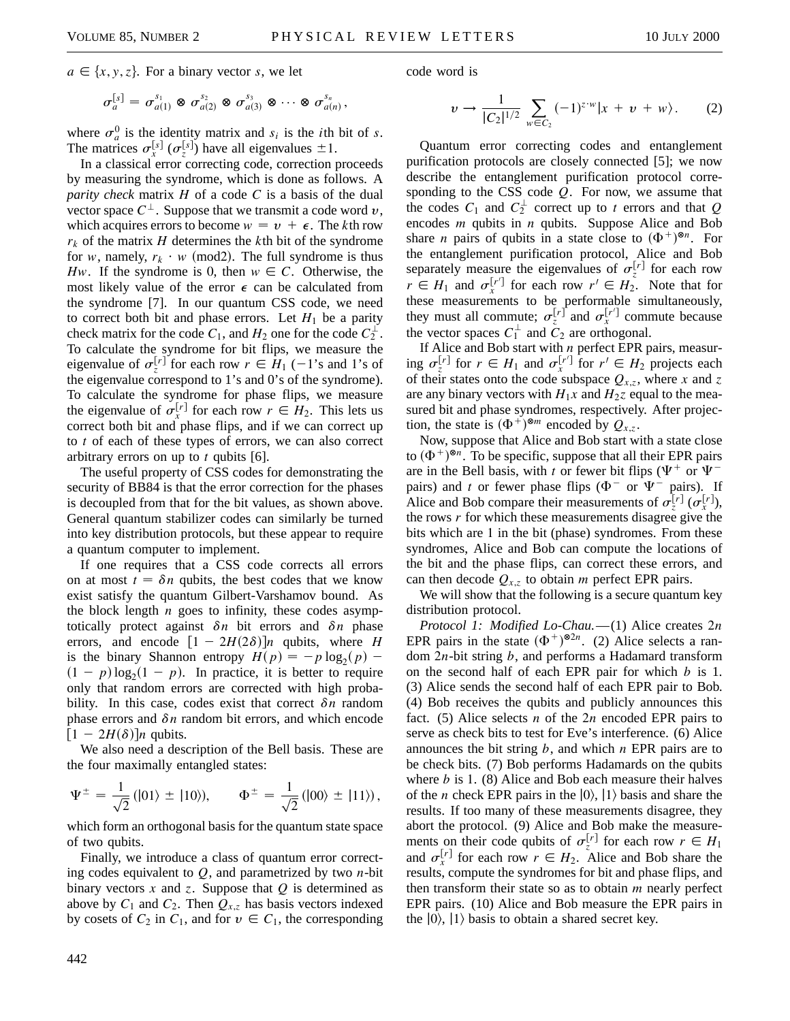$a \in \{x, y, z\}$ . For a binary vector *s*, we let

$$
\sigma_a^{[s]} = \sigma_{a(1)}^{s_1} \otimes \sigma_{a(2)}^{s_2} \otimes \sigma_{a(3)}^{s_3} \otimes \cdots \otimes \sigma_{a(n)}^{s_n},
$$

where  $\sigma_a^0$  is the identity matrix and  $s_i$  is the *i*th bit of *s*. The matrices  $\sigma_x^{[s]}$  ( $\sigma_z^{[s]}$ ) have all eigenvalues  $\pm 1$ .

In a classical error correcting code, correction proceeds by measuring the syndrome, which is done as follows. A *parity check* matrix *H* of a code *C* is a basis of the dual vector space  $C^{\perp}$ . Suppose that we transmit a code word v, which acquires errors to become  $w = v + \epsilon$ . The *k*th row  $r_k$  of the matrix *H* determines the *k*th bit of the syndrome for *w*, namely,  $r_k \cdot w$  (mod2). The full syndrome is thus *Hw*. If the syndrome is 0, then  $w \in C$ . Otherwise, the most likely value of the error  $\epsilon$  can be calculated from the syndrome [7]. In our quantum CSS code, we need to correct both bit and phase errors. Let  $H_1$  be a parity check matrix for the code  $C_1$ , and  $H_2$  one for the code  $C_2^{\perp}$ . To calculate the syndrome for bit flips, we measure the eigenvalue of  $\sigma_{\tau}^{[r]}$  for each row  $r \in H_1$  (-1's and 1's of the eigenvalue correspond to 1's and 0's of the syndrome). To calculate the syndrome for phase flips, we measure the eigenvalue of  $\sigma_x^{[r]}$  for each row  $r \in H_2$ . This lets us correct both bit and phase flips, and if we can correct up to *t* of each of these types of errors, we can also correct arbitrary errors on up to *t* qubits [6].

The useful property of CSS codes for demonstrating the security of BB84 is that the error correction for the phases is decoupled from that for the bit values, as shown above. General quantum stabilizer codes can similarly be turned into key distribution protocols, but these appear to require a quantum computer to implement.

If one requires that a CSS code corrects all errors on at most  $t = \delta n$  qubits, the best codes that we know exist satisfy the quantum Gilbert-Varshamov bound. As the block length *n* goes to infinity, these codes asymptotically protect against  $\delta n$  bit errors and  $\delta n$  phase errors, and encode  $[1 - 2H(2\delta)]n$  qubits, where *H* is the binary Shannon entropy  $H(p) = -p \log_2(p) - p$  $(1 - p) \log_2(1 - p)$ . In practice, it is better to require only that random errors are corrected with high probability. In this case, codes exist that correct  $\delta n$  random phase errors and  $\delta n$  random bit errors, and which encode  $1 - 2H(\delta)$  |*n* qubits.

We also need a description of the Bell basis. These are the four maximally entangled states:

$$
\Psi^{\pm} = \frac{1}{\sqrt{2}} (|01\rangle \pm |10\rangle), \qquad \Phi^{\pm} = \frac{1}{\sqrt{2}} (|00\rangle \pm |11\rangle),
$$

which form an orthogonal basis for the quantum state space of two qubits.

Finally, we introduce a class of quantum error correcting codes equivalent to *Q*, and parametrized by two *n*-bit binary vectors  $x$  and  $z$ . Suppose that  $Q$  is determined as above by  $C_1$  and  $C_2$ . Then  $Q_{x,z}$  has basis vectors indexed by cosets of  $C_2$  in  $C_1$ , and for  $v \in C_1$ , the corresponding code word is

$$
v \to \frac{1}{|C_2|^{1/2}} \sum_{w \in C_2} (-1)^{z \cdot w} |x + v + w\rangle.
$$
 (2)

Quantum error correcting codes and entanglement purification protocols are closely connected [5]; we now describe the entanglement purification protocol corresponding to the CSS code *Q*. For now, we assume that the codes  $C_1$  and  $C_2^{\perp}$  correct up to *t* errors and that *Q* encodes *m* qubits in *n* qubits. Suppose Alice and Bob share *n* pairs of qubits in a state close to  $(\Phi^+)^{\otimes n}$ . For the entanglement purification protocol, Alice and Bob separately measure the eigenvalues of  $\sigma_z^{[r]}$  for each row  $r \in H_1$  and  $\sigma_x^{[r']}$  for each row  $r' \in H_2$ . Note that for these measurements to be performable simultaneously, they must all commute;  $\sigma_z^{[r]}$  and  $\sigma_x^{[r']}$  commute because the vector spaces  $C_1^{\perp}$  and  $C_2$  are orthogonal.

If Alice and Bob start with *n* perfect EPR pairs, measuring  $\sigma_z^{[r]}$  for  $r \in H_1$  and  $\sigma_x^{[r']}$  for  $r' \in H_2$  projects each of their states onto the code subspace  $Q_{x,z}$ , where *x* and *z* are any binary vectors with  $H_1x$  and  $H_2z$  equal to the measured bit and phase syndromes, respectively. After projection, the state is  $(\Phi^+)^{\otimes m}$  encoded by  $Q_{x,z}$ .

Now, suppose that Alice and Bob start with a state close to  $(\Phi^+)^{\otimes n}$ . To be specific, suppose that all their EPR pairs are in the Bell basis, with *t* or fewer bit flips ( $\Psi$ <sup>+</sup> or  $\Psi$ <sup>-</sup> pairs) and *t* or fewer phase flips ( $\Phi^-$  or  $\Psi^-$  pairs). If Alice and Bob compare their measurements of  $\sigma_z^{[r]}(\sigma_x^{[r]})$ , the rows *r* for which these measurements disagree give the bits which are 1 in the bit (phase) syndromes. From these syndromes, Alice and Bob can compute the locations of the bit and the phase flips, can correct these errors, and can then decode  $Q_{x,z}$  to obtain *m* perfect EPR pairs.

We will show that the following is a secure quantum key distribution protocol.

*Protocol 1: Modified Lo-Chau.*—(1) Alice creates 2*n* EPR pairs in the state  $(\Phi^+)^{\otimes 2n}$ . (2) Alice selects a random 2*n*-bit string *b*, and performs a Hadamard transform on the second half of each EPR pair for which *b* is 1. (3) Alice sends the second half of each EPR pair to Bob. (4) Bob receives the qubits and publicly announces this fact. (5) Alice selects *n* of the 2*n* encoded EPR pairs to serve as check bits to test for Eve's interference. (6) Alice announces the bit string *b*, and which *n* EPR pairs are to be check bits. (7) Bob performs Hadamards on the qubits where *b* is 1. (8) Alice and Bob each measure their halves of the *n* check EPR pairs in the  $|0\rangle$ ,  $|1\rangle$  basis and share the results. If too many of these measurements disagree, they abort the protocol. (9) Alice and Bob make the measurements on their code qubits of  $\sigma_z^{[r]}$  for each row  $r \in H_1$ and  $\sigma_{r}^{[r]}$  for each row  $r \in H_2$ . Alice and Bob share the results, compute the syndromes for bit and phase flips, and then transform their state so as to obtain *m* nearly perfect EPR pairs. (10) Alice and Bob measure the EPR pairs in the  $|0\rangle$ ,  $|1\rangle$  basis to obtain a shared secret key.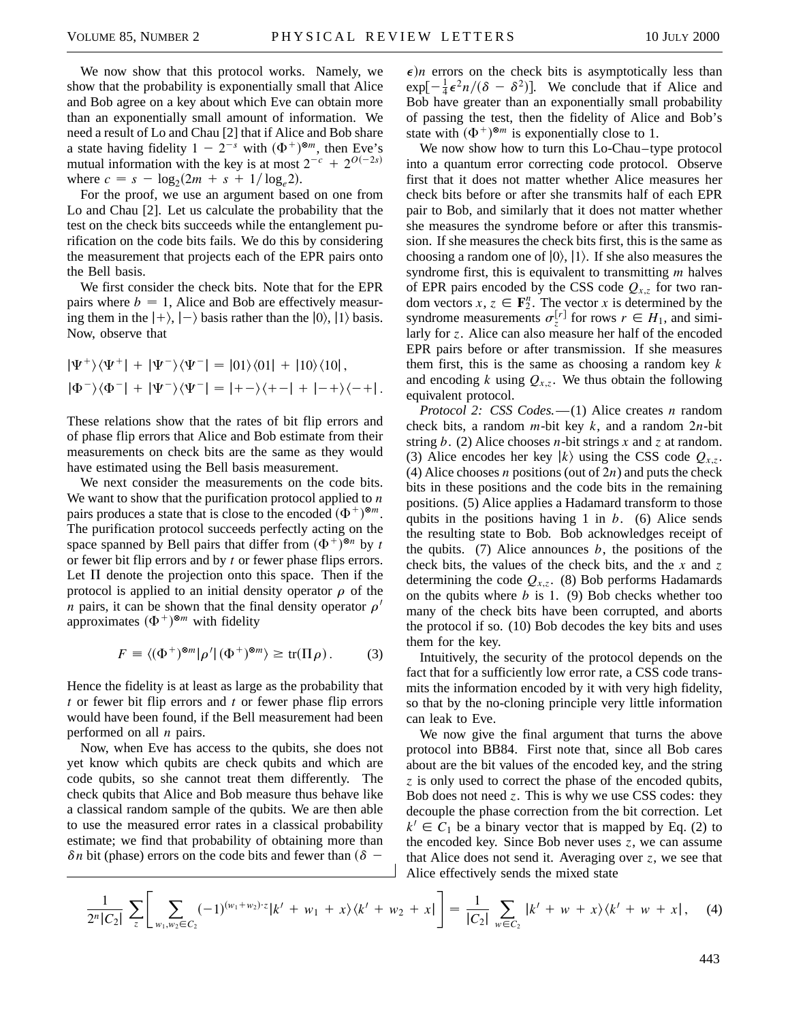We now show that this protocol works. Namely, we show that the probability is exponentially small that Alice and Bob agree on a key about which Eve can obtain more than an exponentially small amount of information. We need a result of Lo and Chau [2] that if Alice and Bob share a state having fidelity  $1 - 2^{-s}$  with  $(\Phi^+)^{\otimes m}$ , then Eve's mutual information with the key is at most  $2^{-c} + 2^{O(-2s)}$ where  $c = s - \log_2(2m + s + 1/\log_e 2)$ .

For the proof, we use an argument based on one from Lo and Chau [2]. Let us calculate the probability that the test on the check bits succeeds while the entanglement purification on the code bits fails. We do this by considering the measurement that projects each of the EPR pairs onto the Bell basis.

We first consider the check bits. Note that for the EPR pairs where  $b = 1$ , Alice and Bob are effectively measuring them in the  $|+\rangle$ ,  $|-\rangle$  basis rather than the  $|0\rangle$ ,  $|1\rangle$  basis. Now, observe that

$$
|\Psi^+\rangle\langle\Psi^+| + |\Psi^-\rangle\langle\Psi^-| = |01\rangle\langle01| + |10\rangle\langle10|,
$$
  

$$
|\Phi^-\rangle\langle\Phi^-| + |\Psi^-\rangle\langle\Psi^-| = |+-\rangle\langle+-| + |-+\rangle\langle-+|.
$$

These relations show that the rates of bit flip errors and of phase flip errors that Alice and Bob estimate from their measurements on check bits are the same as they would have estimated using the Bell basis measurement.

We next consider the measurements on the code bits. We want to show that the purification protocol applied to *n* pairs produces a state that is close to the encoded  $(\Phi^+)^{\otimes m}$ . The purification protocol succeeds perfectly acting on the space spanned by Bell pairs that differ from  $(\Phi^+)^{\otimes n}$  by *t* or fewer bit flip errors and by *t* or fewer phase flips errors. Let  $\Pi$  denote the projection onto this space. Then if the protocol is applied to an initial density operator  $\rho$  of the *n* pairs, it can be shown that the final density operator  $\rho'$ approximates  $(\Phi^+)^{\otimes m}$  with fidelity

$$
F \equiv \langle (\Phi^+)^{\otimes m} | \rho' | (\Phi^+)^{\otimes m} \rangle \ge \text{tr}(\Pi \rho). \tag{3}
$$

Hence the fidelity is at least as large as the probability that *t* or fewer bit flip errors and *t* or fewer phase flip errors would have been found, if the Bell measurement had been performed on all *n* pairs.

Now, when Eve has access to the qubits, she does not yet know which qubits are check qubits and which are code qubits, so she cannot treat them differently. The check qubits that Alice and Bob measure thus behave like a classical random sample of the qubits. We are then able to use the measured error rates in a classical probability estimate; we find that probability of obtaining more than  $\delta$ *n* bit (phase) errors on the code bits and fewer than  $\delta$ 

 $\epsilon$ *n* errors on the check bits is asymptotically less than  $\exp[-\frac{1}{4}\epsilon^2 n/(\delta - \delta^2)]$ . We conclude that if Alice and Bob have greater than an exponentially small probability of passing the test, then the fidelity of Alice and Bob's state with  $(\Phi^+)^{\otimes m}$  is exponentially close to 1.

We now show how to turn this Lo-Chau–type protocol into a quantum error correcting code protocol. Observe first that it does not matter whether Alice measures her check bits before or after she transmits half of each EPR pair to Bob, and similarly that it does not matter whether she measures the syndrome before or after this transmission. If she measures the check bits first, this is the same as choosing a random one of  $|0\rangle$ ,  $|1\rangle$ . If she also measures the syndrome first, this is equivalent to transmitting *m* halves of EPR pairs encoded by the CSS code  $Q_{x,z}$  for two random vectors  $x, z \in \mathbf{F}_2^n$ . The vector *x* is determined by the syndrome measurements  $\sigma_{\tau}^{[r]}$  for rows  $r \in H_1$ , and similarly for *z*. Alice can also measure her half of the encoded EPR pairs before or after transmission. If she measures them first, this is the same as choosing a random key *k* and encoding *k* using  $Q_{x,z}$ . We thus obtain the following equivalent protocol.

*Protocol 2: CSS Codes.*—(1) Alice creates *n* random check bits, a random *m*-bit key *k*, and a random 2*n*-bit string *b*. (2) Alice chooses *n*-bit strings *x* and *z* at random. (3) Alice encodes her key  $|k\rangle$  using the CSS code  $Q_{x,z}$ . (4) Alice chooses *n* positions (out of 2*n*) and puts the check bits in these positions and the code bits in the remaining positions. (5) Alice applies a Hadamard transform to those qubits in the positions having 1 in *b*. (6) Alice sends the resulting state to Bob. Bob acknowledges receipt of the qubits.  $(7)$  Alice announces *b*, the positions of the check bits, the values of the check bits, and the *x* and *z* determining the code  $Q_{x,z}$ . (8) Bob performs Hadamards on the qubits where  $b$  is 1. (9) Bob checks whether too many of the check bits have been corrupted, and aborts the protocol if so. (10) Bob decodes the key bits and uses them for the key.

Intuitively, the security of the protocol depends on the fact that for a sufficiently low error rate, a CSS code transmits the information encoded by it with very high fidelity, so that by the no-cloning principle very little information can leak to Eve.

We now give the final argument that turns the above protocol into BB84. First note that, since all Bob cares about are the bit values of the encoded key, and the string *z* is only used to correct the phase of the encoded qubits, Bob does not need *z*. This is why we use CSS codes: they decouple the phase correction from the bit correction. Let  $k' \in C_1$  be a binary vector that is mapped by Eq. (2) to the encoded key. Since Bob never uses *z*, we can assume that Alice does not send it. Averaging over *z*, we see that Alice effectively sends the mixed state

$$
\frac{1}{2^{n}|C_{2}|} \sum_{z} \left[ \sum_{w_{1},w_{2} \in C_{2}} (-1)^{(w_{1}+w_{2}) \cdot z} |k' + w_{1} + x\rangle\langle k' + w_{2} + x| \right] = \frac{1}{|C_{2}|} \sum_{w \in C_{2}} |k' + w + x\rangle\langle k' + w + x|, \quad (4)
$$